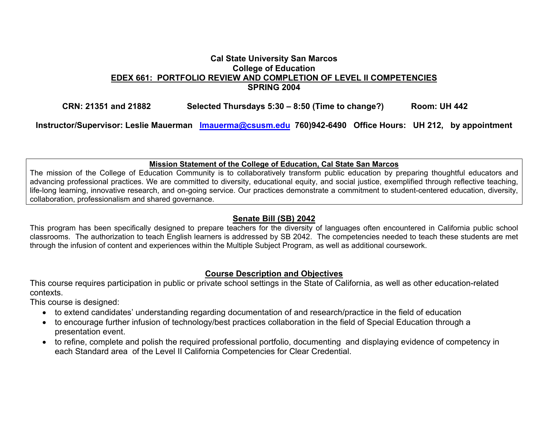### **Cal State University San Marcos College of Education EDEX 661: PORTFOLIO REVIEW AND COMPLETION OF LEVEL II COMPETENCIES SPRING 2004**

**CRN: 21351 and 21882 Selected Thursdays 5:30 – 8:50 (Time to change?) Room: UH 442** 

**Instructor/Supervisor: Leslie Mauerman lmauerma@csusm.edu 760)942-6490 Office Hours: UH 212, by appointment** 

#### **Mission Statement of the College of Education, Cal State San Marcos**

The mission of the College of Education Community is to collaboratively transform public education by preparing thoughtful educators and advancing professional practices. We are committed to diversity, educational equity, and social justice, exemplified through reflective teaching, life-long learning, innovative research, and on-going service. Our practices demonstrate a commitment to student-centered education, diversity, collaboration, professionalism and shared governance.

#### **Senate Bill (SB) 2042**

This program has been specifically designed to prepare teachers for the diversity of languages often encountered in California public school classrooms. The authorization to teach English learners is addressed by SB 2042. The competencies needed to teach these students are met through the infusion of content and experiences within the Multiple Subject Program, as well as additional coursework.

### **Course Description and Objectives**

This course requires participation in public or private school settings in the State of California, as well as other education-related contexts.

This course is designed:

- to extend candidates' understanding regarding documentation of and research/practice in the field of education
- to encourage further infusion of technology/best practices collaboration in the field of Special Education through a presentation event.
- to refine, complete and polish the required professional portfolio, documenting and displaying evidence of competency in each Standard area of the Level II California Competencies for Clear Credential.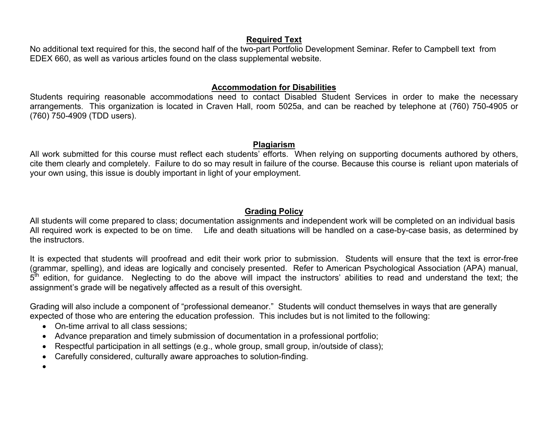### **Required Text**

No additional text required for this, the second half of the two-part Portfolio Development Seminar. Refer to Campbell text from EDEX 660, as well as various articles found on the class supplemental website.

## **Accommodation for Disabilities**

Students requiring reasonable accommodations need to contact Disabled Student Services in order to make the necessary arrangements. This organization is located in Craven Hall, room 5025a, and can be reached by telephone at (760) 750-4905 or (760) 750-4909 (TDD users).

#### **Plagiarism**

All work submitted for this course must reflect each students' efforts. When relying on supporting documents authored by others, cite them clearly and completely. Failure to do so may result in failure of the course. Because this course is reliant upon materials of your own using, this issue is doubly important in light of your employment.

## **Grading Policy**

All students will come prepared to class; documentation assignments and independent work will be completed on an individual basis All required work is expected to be on time. Life and death situations will be handled on a case-by-case basis, as determined by the instructors.

It is expected that students will proofread and edit their work prior to submission. Students will ensure that the text is error-free (grammar, spelling), and ideas are logically and concisely presented. Refer to American Psychological Association (APA) manual,  $5<sup>th</sup>$  edition, for guidance. Neglecting to do the above will impact the instructors' abilities to read and understand the text; the assignment's grade will be negatively affected as a result of this oversight.

Grading will also include a component of "professional demeanor." Students will conduct themselves in ways that are generally expected of those who are entering the education profession. This includes but is not limited to the following:

- On-time arrival to all class sessions;
- Advance preparation and timely submission of documentation in a professional portfolio;
- Respectful participation in all settings (e.g., whole group, small group, in/outside of class);
- Carefully considered, culturally aware approaches to solution-finding.
- •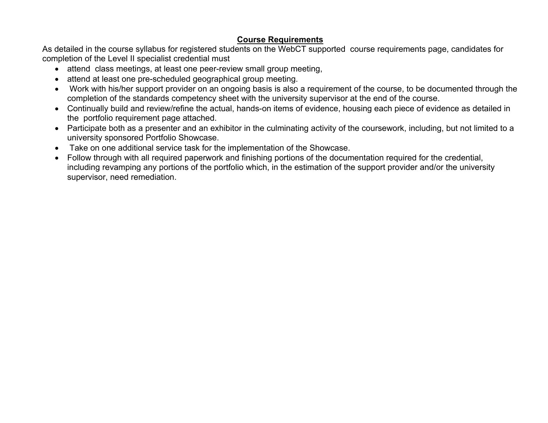## **Course Requirements**

As detailed in the course syllabus for registered students on the WebCT supported course requirements page, candidates for completion of the Level II specialist credential must

- attend class meetings, at least one peer-review small group meeting,
- attend at least one pre-scheduled geographical group meeting.
- Work with his/her support provider on an ongoing basis is also a requirement of the course, to be documented through the completion of the standards competency sheet with the university supervisor at the end of the course.
- Continually build and review/refine the actual, hands-on items of evidence, housing each piece of evidence as detailed in the portfolio requirement page attached.
- Participate both as a presenter and an exhibitor in the culminating activity of the coursework, including, but not limited to a university sponsored Portfolio Showcase.
- Take on one additional service task for the implementation of the Showcase.
- Follow through with all required paperwork and finishing portions of the documentation required for the credential, including revamping any portions of the portfolio which, in the estimation of the support provider and/or the university supervisor, need remediation.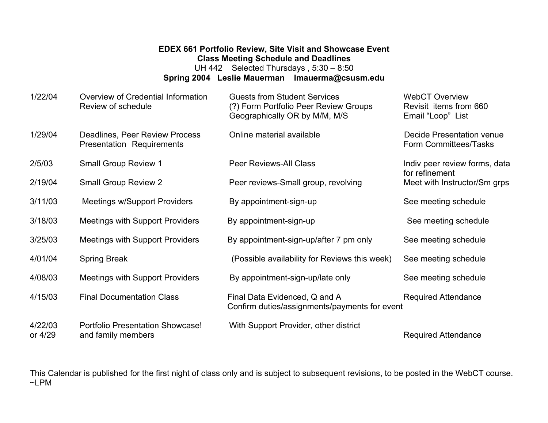# **EDEX 661 Portfolio Review, Site Visit and Showcase Event Class Meeting Schedule and Deadlines**

UH 442 Selected Thursdays , 5:30 – 8:50 **Spring 2004 Leslie Mauerman lmauerma@csusm.edu** 

| 1/22/04            | Overview of Credential Information<br>Review of schedule      | <b>Guests from Student Services</b><br>(?) Form Portfolio Peer Review Groups<br>Geographically OR by M/M, M/S | <b>WebCT Overview</b><br>Revisit items from 660<br>Email "Loop" List |
|--------------------|---------------------------------------------------------------|---------------------------------------------------------------------------------------------------------------|----------------------------------------------------------------------|
| 1/29/04            | Deadlines, Peer Review Process<br>Presentation Requirements   | Online material available                                                                                     | Decide Presentation venue<br>Form Committees/Tasks                   |
| 2/5/03             | <b>Small Group Review 1</b>                                   | <b>Peer Reviews-All Class</b>                                                                                 | Indiv peer review forms, data<br>for refinement                      |
| 2/19/04            | <b>Small Group Review 2</b>                                   | Peer reviews-Small group, revolving                                                                           | Meet with Instructor/Sm grps                                         |
| 3/11/03            | <b>Meetings w/Support Providers</b>                           | By appointment-sign-up                                                                                        | See meeting schedule                                                 |
| 3/18/03            | <b>Meetings with Support Providers</b>                        | By appointment-sign-up                                                                                        | See meeting schedule                                                 |
| 3/25/03            | <b>Meetings with Support Providers</b>                        | By appointment-sign-up/after 7 pm only                                                                        | See meeting schedule                                                 |
| 4/01/04            | <b>Spring Break</b>                                           | (Possible availability for Reviews this week)                                                                 | See meeting schedule                                                 |
| 4/08/03            | <b>Meetings with Support Providers</b>                        | By appointment-sign-up/late only                                                                              | See meeting schedule                                                 |
| 4/15/03            | <b>Final Documentation Class</b>                              | Final Data Evidenced, Q and A<br>Confirm duties/assignments/payments for event                                | <b>Required Attendance</b>                                           |
| 4/22/03<br>or 4/29 | <b>Portfolio Presentation Showcase!</b><br>and family members | With Support Provider, other district                                                                         | <b>Required Attendance</b>                                           |

This Calendar is published for the first night of class only and is subject to subsequent revisions, to be posted in the WebCT course. ~LPM